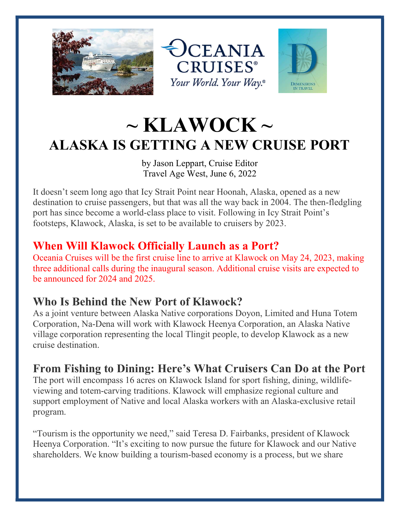





# $\sim$  KLAWOCK  $\sim$ ALASKA IS GETTING A NEW CRUISE PORT

by Jason Leppart, Cruise Editor Travel Age West, June 6, 2022

It doesn't seem long ago that Icy Strait Point near Hoonah, Alaska, opened as a new destination to cruise passengers, but that was all the way back in 2004. The then-fledgling port has since become a world-class place to visit. Following in Icy Strait Point's footsteps, Klawock, Alaska, is set to be available to cruisers by 2023.

## When Will Klawock Officially Launch as a Port?

Oceania Cruises will be the first cruise line to arrive at Klawock on May 24, 2023, making three additional calls during the inaugural season. Additional cruise visits are expected to be announced for 2024 and 2025.

#### Who Is Behind the New Port of Klawock?

As a joint venture between Alaska Native corporations Doyon, Limited and Huna Totem Corporation, Na-Dena will work with Klawock Heenya Corporation, an Alaska Native village corporation representing the local Tlingit people, to develop Klawock as a new cruise destination.

## From Fishing to Dining: Here's What Cruisers Can Do at the Port

The port will encompass 16 acres on Klawock Island for sport fishing, dining, wildlifeviewing and totem-carving traditions. Klawock will emphasize regional culture and support employment of Native and local Alaska workers with an Alaska-exclusive retail program.

"Tourism is the opportunity we need," said Teresa D. Fairbanks, president of Klawock Heenya Corporation. "It's exciting to now pursue the future for Klawock and our Native shareholders. We know building a tourism-based economy is a process, but we share